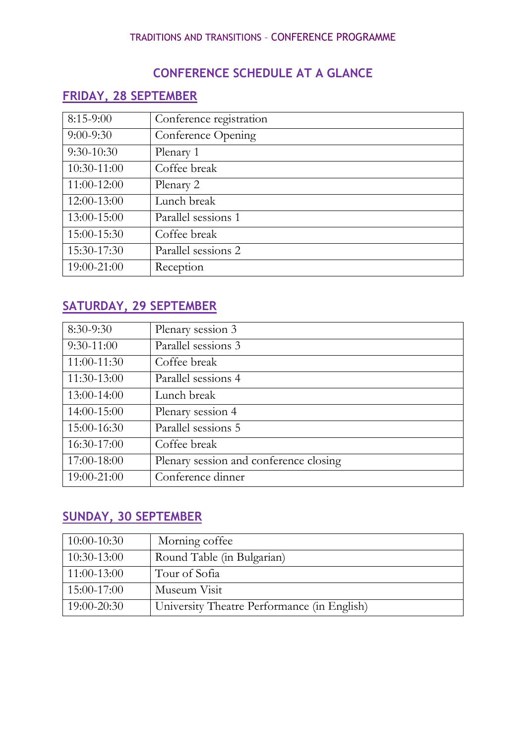## **CONFERENCE SCHEDULE AT A GLANCE**

# **FRIDAY, 28 SEPTEMBER**

| $8:15-9:00$  | Conference registration |
|--------------|-------------------------|
| $9:00-9:30$  | Conference Opening      |
| $9:30-10:30$ | Plenary 1               |
| 10:30-11:00  | Coffee break            |
| 11:00-12:00  | Plenary 2               |
| 12:00-13:00  | Lunch break             |
| 13:00-15:00  | Parallel sessions 1     |
| 15:00-15:30  | Coffee break            |
| 15:30-17:30  | Parallel sessions 2     |
| 19:00-21:00  | Reception               |

# **SATURDAY, 29 SEPTEMBER**

| 8:30-9:30    | Plenary session 3                      |
|--------------|----------------------------------------|
| $9:30-11:00$ | Parallel sessions 3                    |
| 11:00-11:30  | Coffee break                           |
| 11:30-13:00  | Parallel sessions 4                    |
| 13:00-14:00  | Lunch break                            |
| 14:00-15:00  | Plenary session 4                      |
| 15:00-16:30  | Parallel sessions 5                    |
| 16:30-17:00  | Coffee break                           |
| 17:00-18:00  | Plenary session and conference closing |
| 19:00-21:00  | Conference dinner                      |

## **SUNDAY, 30 SEPTEMBER**

| $10:00-10:30$ | Morning coffee                              |
|---------------|---------------------------------------------|
| $10:30-13:00$ | Round Table (in Bulgarian)                  |
| $11:00-13:00$ | Tour of Sofia                               |
| 15:00-17:00   | Museum Visit                                |
| 19:00-20:30   | University Theatre Performance (in English) |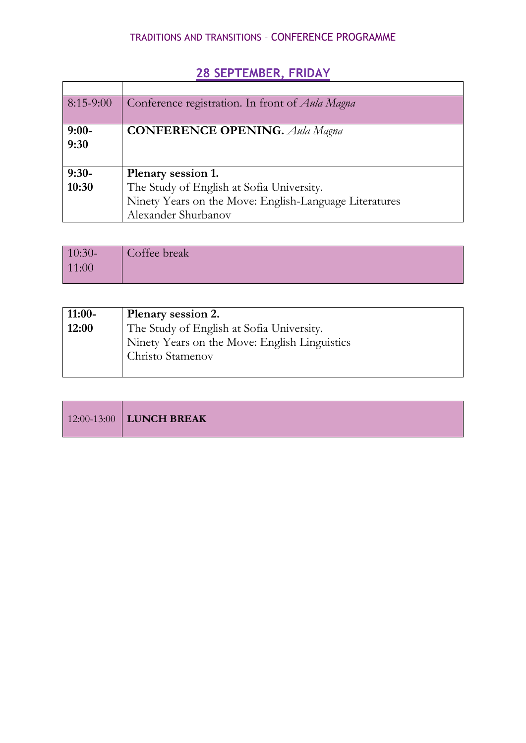| $8:15-9:00$     | Conference registration. In front of Aula Magna        |
|-----------------|--------------------------------------------------------|
| $9:00-$<br>9:30 | <b>CONFERENCE OPENING.</b> Aula Magna                  |
| $9:30-$         | Plenary session 1.                                     |
| 10:30           | The Study of English at Sofia University.              |
|                 | Ninety Years on the Move: English-Language Literatures |
|                 | Alexander Shurbanov                                    |

# **28 SEPTEMBER, FRIDAY**

| $10:30-$ | Coffee break |
|----------|--------------|
| 11:00    |              |
|          |              |

| $11:00-$ | Plenary session 2.                            |
|----------|-----------------------------------------------|
| 12:00    | The Study of English at Sofia University.     |
|          | Ninety Years on the Move: English Linguistics |
|          | Christo Stamenov                              |
|          |                                               |

|  | $12:00-13:00$ LUNCH BREAK |  |  |  |  |
|--|---------------------------|--|--|--|--|
|--|---------------------------|--|--|--|--|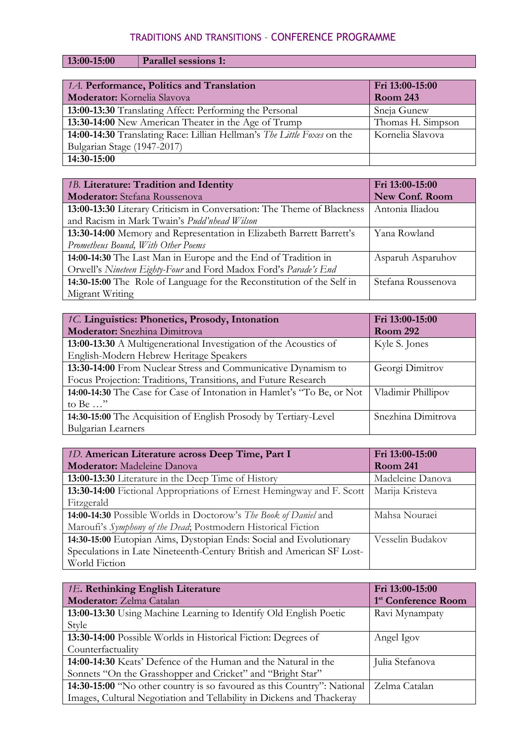#### **13:00-15:00 Parallel sessions 1:**

| 1.A. Performance, Politics and Translation<br>Moderator: Kornelia Slavova | Fri 13:00-15:00<br><b>Room 243</b> |
|---------------------------------------------------------------------------|------------------------------------|
| 13:00-13:30 Translating Affect: Performing the Personal                   | Sneja Gunew                        |
| 13:30-14:00 New American Theater in the Age of Trump                      | Thomas H. Simpson                  |
| 14:00-14:30 Translating Race: Lillian Hellman's The Little Foxes on the   | Kornelia Slavova                   |
| Bulgarian Stage (1947-2017)                                               |                                    |
| 14:30-15:00                                                               |                                    |

| 1B. Literature: Tradition and Identity                                 | Fri 13:00-15:00       |
|------------------------------------------------------------------------|-----------------------|
| Moderator: Stefana Roussenova                                          | <b>New Conf. Room</b> |
| 13:00-13:30 Literary Criticism in Conversation: The Theme of Blackness | Antonia Iliadou       |
| and Racism in Mark Twain's Pudd'nhead Wilson                           |                       |
| 13:30-14:00 Memory and Representation in Elizabeth Barrett Barrett's   | Yana Rowland          |
| Prometheus Bound, With Other Poems                                     |                       |
| 14:00-14:30 The Last Man in Europe and the End of Tradition in         | Asparuh Asparuhov     |
| Orwell's Nineteen Eighty-Four and Ford Madox Ford's Parade's End       |                       |
| 14:30-15:00 The Role of Language for the Reconstitution of the Self in | Stefana Roussenova    |
| Migrant Writing                                                        |                       |

| 1C. Linguistics: Phonetics, Prosody, Intonation                        | Fri 13:00-15:00    |
|------------------------------------------------------------------------|--------------------|
| <b>Moderator:</b> Snezhina Dimitrova                                   | <b>Room 292</b>    |
| 13:00-13:30 A Multigenerational Investigation of the Acoustics of      | Kyle S. Jones      |
| English-Modern Hebrew Heritage Speakers                                |                    |
| 13:30-14:00 From Nuclear Stress and Communicative Dynamism to          | Georgi Dimitrov    |
| Focus Projection: Traditions, Transitions, and Future Research         |                    |
| 14:00-14:30 The Case for Case of Intonation in Hamlet's "To Be, or Not | Vladimir Phillipov |
| to Be $\ldots$ "                                                       |                    |
| 14:30-15:00 The Acquisition of English Prosody by Tertiary-Level       | Snezhina Dimitrova |
| <b>Bulgarian Learners</b>                                              |                    |

| 1D. American Literature across Deep Time, Part I                      | Fri 13:00-15:00  |
|-----------------------------------------------------------------------|------------------|
| Moderator: Madeleine Danova                                           | <b>Room 241</b>  |
| 13:00-13:30 Literature in the Deep Time of History                    | Madeleine Danova |
| 13:30-14:00 Fictional Appropriations of Ernest Hemingway and F. Scott | Marija Kristeva  |
| Fitzgerald                                                            |                  |
| 14:00-14:30 Possible Worlds in Doctorow's The Book of Daniel and      | Mahsa Nouraei    |
| Maroufi's Symphony of the Dead; Postmodern Historical Fiction         |                  |
| 14:30-15:00 Eutopian Aims, Dystopian Ends: Social and Evolutionary    | Vesselin Budakov |
| Speculations in Late Nineteenth-Century British and American SF Lost- |                  |
| World Fiction                                                         |                  |

| 1E. Rethinking English Literature                                       | Fri 13:00-15:00                 |
|-------------------------------------------------------------------------|---------------------------------|
| Moderator: Zelma Catalan                                                | 1 <sup>st</sup> Conference Room |
| 13:00-13:30 Using Machine Learning to Identify Old English Poetic       | Ravi Mynampaty                  |
| Style                                                                   |                                 |
| 13:30-14:00 Possible Worlds in Historical Fiction: Degrees of           | Angel Igov                      |
| Counterfactuality                                                       |                                 |
| 14:00-14:30 Keats' Defence of the Human and the Natural in the          | Julia Stefanova                 |
| Sonnets "On the Grasshopper and Cricket" and "Bright Star"              |                                 |
| 14:30-15:00 "No other country is so favoured as this Country": National | Zelma Catalan                   |
| Images, Cultural Negotiation and Tellability in Dickens and Thackeray   |                                 |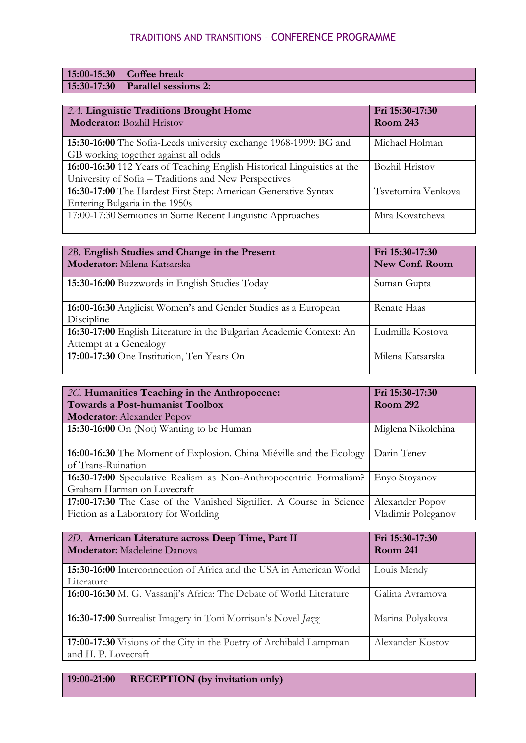| $15:00-15:30$ Coffee break         |
|------------------------------------|
| $15:30-17:30$ Parallel sessions 2: |
|                                    |

| 2A. Linguistic Traditions Brought Home                                  | Fri 15:30-17:30       |
|-------------------------------------------------------------------------|-----------------------|
| <b>Moderator:</b> Bozhil Hristov                                        | <b>Room 243</b>       |
| 15:30-16:00 The Sofia-Leeds university exchange 1968-1999: BG and       | Michael Holman        |
| GB working together against all odds                                    |                       |
| 16:00-16:30 112 Years of Teaching English Historical Linguistics at the | <b>Bozhil Hristov</b> |
| University of Sofia – Traditions and New Perspectives                   |                       |
| 16:30-17:00 The Hardest First Step: American Generative Syntax          | Tsvetomira Venkova    |
| Entering Bulgaria in the 1950s                                          |                       |
| 17:00-17:30 Semiotics in Some Recent Linguistic Approaches              | Mira Kovatcheva       |
|                                                                         |                       |

| 2B. English Studies and Change in the Present<br>Moderator: Milena Katsarska                   | Fri 15:30-17:30<br><b>New Conf. Room</b> |
|------------------------------------------------------------------------------------------------|------------------------------------------|
| 15:30-16:00 Buzzwords in English Studies Today                                                 | Suman Gupta                              |
| 16:00-16:30 Anglicist Women's and Gender Studies as a European<br>Discipline                   | Renate Haas                              |
| 16:30-17:00 English Literature in the Bulgarian Academic Context: An<br>Attempt at a Genealogy | Ludmilla Kostova                         |
| 17:00-17:30 One Institution, Ten Years On                                                      | Milena Katsarska                         |

| 2C. Humanities Teaching in the Anthropocene:                        | Fri 15:30-17:30    |
|---------------------------------------------------------------------|--------------------|
| <b>Towards a Post-humanist Toolbox</b>                              | <b>Room 292</b>    |
| <b>Moderator:</b> Alexander Popov                                   |                    |
| 15:30-16:00 On (Not) Wanting to be Human                            | Miglena Nikolchina |
|                                                                     |                    |
| 16:00-16:30 The Moment of Explosion. China Miéville and the Ecology | Darin Tenev        |
| of Trans-Ruination                                                  |                    |
| 16:30-17:00 Speculative Realism as Non-Anthropocentric Formalism?   | Enyo Stoyanov      |
| Graham Harman on Lovecraft                                          |                    |
| 17:00-17:30 The Case of the Vanished Signifier. A Course in Science | Alexander Popov    |
| Fiction as a Laboratory for Worlding                                | Vladimir Poleganov |

| 2D. American Literature across Deep Time, Part II<br><b>Moderator:</b> Madeleine Danova   | Fri 15:30-17:30<br><b>Room 241</b> |
|-------------------------------------------------------------------------------------------|------------------------------------|
| 15:30-16:00 Interconnection of Africa and the USA in American World<br>Literature         | Louis Mendy                        |
| 16:00-16:30 M. G. Vassanji's Africa: The Debate of World Literature                       | Galina Avramova                    |
| 16:30-17:00 Surrealist Imagery in Toni Morrison's Novel Jazz                              | Marina Polyakova                   |
| 17:00-17:30 Visions of the City in the Poetry of Archibald Lampman<br>and H. P. Lovecraft | Alexander Kostov                   |

**19:00-21:00 RECEPTION (by invitation only)**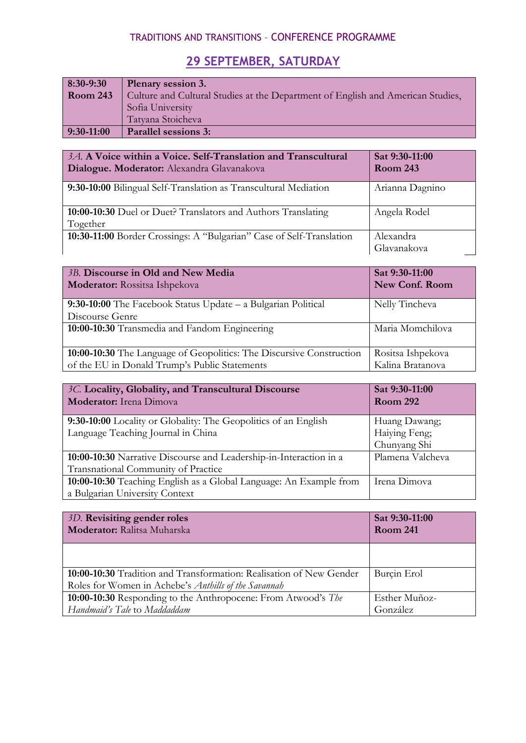## **29 SEPTEMBER, SATURDAY**

| 8:30-9:30       | Plenary session 3.                                                              |
|-----------------|---------------------------------------------------------------------------------|
| <b>Room 243</b> | Culture and Cultural Studies at the Department of English and American Studies, |
|                 | Sofia University                                                                |
|                 | Tatyana Stoicheva                                                               |
| $9:30-11:00$    | <b>Parallel sessions 3:</b>                                                     |

| 3A. A Voice within a Voice. Self-Translation and Transcultural<br>Dialogue. Moderator: Alexandra Glavanakova | Sat 9:30-11:00<br><b>Room 243</b> |
|--------------------------------------------------------------------------------------------------------------|-----------------------------------|
| 9:30-10:00 Bilingual Self-Translation as Transcultural Mediation                                             | Arianna Dagnino                   |
| 10:00-10:30 Duel or Duet? Translators and Authors Translating<br>Together                                    | Angela Rodel                      |
| 10:30-11:00 Border Crossings: A "Bulgarian" Case of Self-Translation                                         | Alexandra<br>Glavanakova          |

| 3B. Discourse in Old and New Media<br>Moderator: Rossitsa Ishpekova  | Sat 9:30-11:00<br><b>New Conf. Room</b> |
|----------------------------------------------------------------------|-----------------------------------------|
| 9:30-10:00 The Facebook Status Update - a Bulgarian Political        | Nelly Tincheva                          |
| Discourse Genre                                                      |                                         |
| 10:00-10:30 Transmedia and Fandom Engineering                        | Maria Momchilova                        |
| 10:00-10:30 The Language of Geopolitics: The Discursive Construction | Rositsa Ishpekova                       |
| of the EU in Donald Trump's Public Statements                        | Kalina Bratanova                        |

| 3C. Locality, Globality, and Transcultural Discourse                                                      | Sat 9:30-11:00                                 |
|-----------------------------------------------------------------------------------------------------------|------------------------------------------------|
| Moderator: Irena Dimova                                                                                   | <b>Room 292</b>                                |
| 9:30-10:00 Locality or Globality: The Geopolitics of an English<br>Language Teaching Journal in China     | Huang Dawang;<br>Haiying Feng;<br>Chunyang Shi |
| 10:00-10:30 Narrative Discourse and Leadership-in-Interaction in a<br>Transnational Community of Practice | Plamena Valcheva                               |
| 10:00-10:30 Teaching English as a Global Language: An Example from<br>a Bulgarian University Context      | Irena Dimova                                   |

| Sat 9:30-11:00<br><b>Room 241</b> |
|-----------------------------------|
|                                   |
| Burcin Erol                       |
| Esther Muñoz-<br>González         |
|                                   |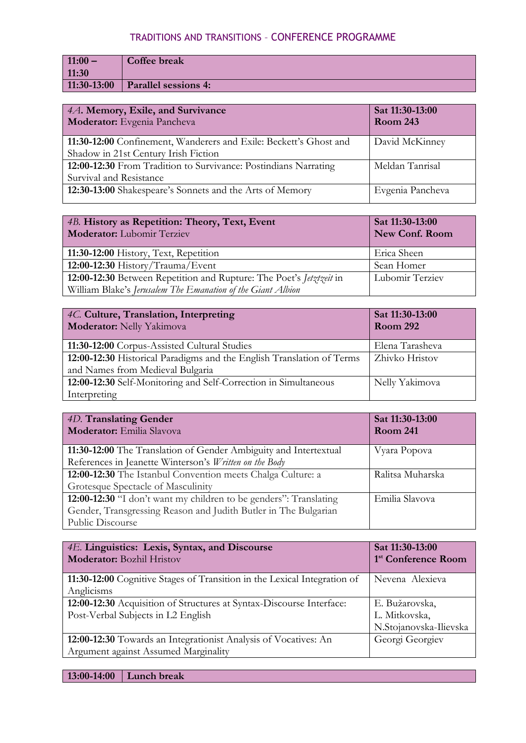| $11:00 -$     | Coffee break                |
|---------------|-----------------------------|
| 11:30         |                             |
| $11:30-13:00$ | <b>Parallel sessions 4:</b> |

| 4A. Memory, Exile, and Survivance<br>Moderator: Evgenia Pancheva                                          | Sat 11:30-13:00<br><b>Room 243</b> |
|-----------------------------------------------------------------------------------------------------------|------------------------------------|
| 11:30-12:00 Confinement, Wanderers and Exile: Beckett's Ghost and<br>Shadow in 21st Century Irish Fiction | David McKinney                     |
| 12:00-12:30 From Tradition to Survivance: Postindians Narrating<br>Survival and Resistance                | Meldan Tanrisal                    |
| 12:30-13:00 Shakespeare's Sonnets and the Arts of Memory                                                  | Evgenia Pancheva                   |

| 4B. History as Repetition: Theory, Text, Event<br><b>Moderator:</b> Lubomir Terziev | Sat 11:30-13:00<br><b>New Conf. Room</b> |
|-------------------------------------------------------------------------------------|------------------------------------------|
| 11:30-12:00 History, Text, Repetition                                               | Erica Sheen                              |
| $12:00-12:30$ History/Trauma/Event                                                  | Sean Homer                               |
| 12:00-12:30 Between Repetition and Rupture: The Poet's Jetztzeit in                 | Lubomir Terziev                          |
| William Blake's Jerusalem The Emanation of the Giant Albion                         |                                          |

| 4C. Culture, Translation, Interpreting<br>Moderator: Nelly Yakimova   | Sat 11:30-13:00<br><b>Room 292</b> |
|-----------------------------------------------------------------------|------------------------------------|
| 11:30-12:00 Corpus-Assisted Cultural Studies                          | Elena Tarasheva                    |
| 12:00-12:30 Historical Paradigms and the English Translation of Terms | Zhivko Hristov                     |
| and Names from Medieval Bulgaria                                      |                                    |
| 12:00-12:30 Self-Monitoring and Self-Correction in Simultaneous       | Nelly Yakimova                     |
| Interpreting                                                          |                                    |

| 4D. Translating Gender<br>Moderator: Emilia Slavova               | Sat 11:30-13:00<br><b>Room 241</b> |
|-------------------------------------------------------------------|------------------------------------|
|                                                                   |                                    |
| 11:30-12:00 The Translation of Gender Ambiguity and Intertextual  | Vyara Popova                       |
| References in Jeanette Winterson's Written on the Body            |                                    |
| 12:00-12:30 The Istanbul Convention meets Chalga Culture: a       | Ralitsa Muharska                   |
| Grotesque Spectacle of Masculinity                                |                                    |
| 12:00-12:30 "I don't want my children to be genders": Translating | Emilia Slavova                     |
| Gender, Transgressing Reason and Judith Butler in The Bulgarian   |                                    |
| Public Discourse                                                  |                                    |

| 4E. Linguistics: Lexis, Syntax, and Discourse<br><b>Moderator:</b> Bozhil Hristov                          | Sat 11:30-13:00<br>1 <sup>st</sup> Conference Room        |
|------------------------------------------------------------------------------------------------------------|-----------------------------------------------------------|
| 11:30-12:00 Cognitive Stages of Transition in the Lexical Integration of<br>Anglicisms                     | Nevena Alexieva                                           |
| 12:00-12:30 Acquisition of Structures at Syntax-Discourse Interface:<br>Post-Verbal Subjects in L2 English | E. Bužarovska,<br>L. Mitkovska,<br>N.Stojanovska-Ilievska |
| 12:00-12:30 Towards an Integrationist Analysis of Vocatives: An<br>Argument against Assumed Marginality    | Georgi Georgiev                                           |

**13:00-14:00 Lunch break**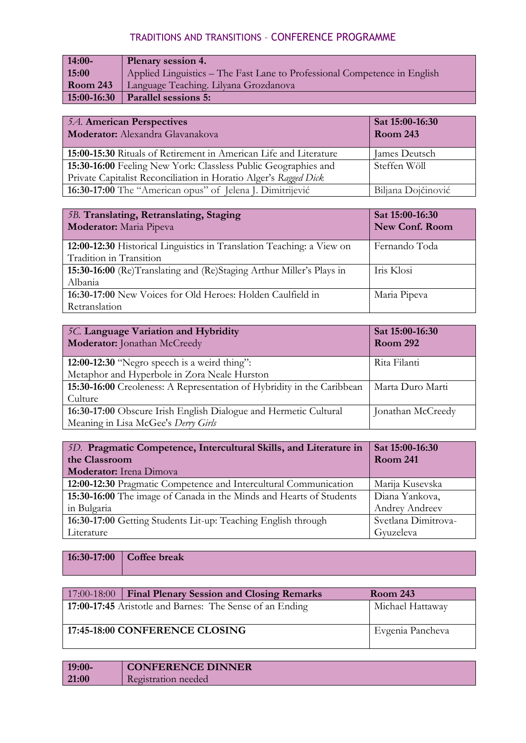| $14:00-$        | <b>Plenary session 4.</b>                                                 |
|-----------------|---------------------------------------------------------------------------|
| 15:00           | Applied Linguistics – The Fast Lane to Professional Competence in English |
| <b>Room 243</b> | Language Teaching. Lilyana Grozdanova                                     |
| 15:00-16:30     | <b>Parallel sessions 5:</b>                                               |

| 5A. American Perspectives<br>Moderator: Alexandra Glavanakova     | Sat 15:00-16:30<br><b>Room 243</b> |
|-------------------------------------------------------------------|------------------------------------|
| 15:00-15:30 Rituals of Retirement in American Life and Literature | James Deutsch                      |
| 15:30-16:00 Feeling New York: Classless Public Geographies and    | Steffen Wöll                       |
| Private Capitalist Reconciliation in Horatio Alger's Ragged Dick  |                                    |
| 16:30-17:00 The "American opus" of Jelena J. Dimitrijević         | Biljana Dojčinović                 |

| 5B. Translating, Retranslating, Staging<br>Moderator: Maria Pipeva    | Sat 15:00-16:30<br><b>New Conf. Room</b> |
|-----------------------------------------------------------------------|------------------------------------------|
| 12:00-12:30 Historical Linguistics in Translation Teaching: a View on | Fernando Toda                            |
| Tradition in Transition                                               |                                          |
| 15:30-16:00 (Re)Translating and (Re)Staging Arthur Miller's Plays in  | Iris Klosi                               |
| Albania                                                               |                                          |
| 16:30-17:00 New Voices for Old Heroes: Holden Caulfield in            | Maria Pipeva                             |
| Retranslation                                                         |                                          |

| 5C. Language Variation and Hybridity<br>Moderator: Jonathan McCreedy   | Sat 15:00-16:30<br><b>Room 292</b> |
|------------------------------------------------------------------------|------------------------------------|
| 12:00-12:30 "Negro speech is a weird thing":                           | Rita Filanti                       |
| Metaphor and Hyperbole in Zora Neale Hurston                           |                                    |
| 15:30-16:00 Creoleness: A Representation of Hybridity in the Caribbean | Marta Duro Marti                   |
| Culture                                                                |                                    |
| 16:30-17:00 Obscure Irish English Dialogue and Hermetic Cultural       | Jonathan McCreedy                  |
| Meaning in Lisa McGee's Derry Girls                                    |                                    |

| 5D. Pragmatic Competence, Intercultural Skills, and Literature in   | Sat 15:00-16:30     |
|---------------------------------------------------------------------|---------------------|
| the Classroom                                                       | <b>Room 241</b>     |
| <b>Moderator:</b> Irena Dimova                                      |                     |
| 12:00-12:30 Pragmatic Competence and Intercultural Communication    | Marija Kusevska     |
| 15:30-16:00 The image of Canada in the Minds and Hearts of Students | Diana Yankova,      |
| in Bulgaria                                                         | Andrey Andreev      |
| 16:30-17:00 Getting Students Lit-up: Teaching English through       | Svetlana Dimitrova- |
| Literature                                                          | Gyuzeleva           |

**16:30-17:00 Coffee break**

| 17:00-18:00 | <b>Final Plenary Session and Closing Remarks</b>         | <b>Room 243</b>  |
|-------------|----------------------------------------------------------|------------------|
|             | 17:00-17:45 Aristotle and Barnes: The Sense of an Ending | Michael Hattaway |
|             | 17:45-18:00 CONFERENCE CLOSING                           | Evgenia Pancheva |

| $19:00-$ | <b>CONFERENCE DINNER</b> |
|----------|--------------------------|
| 21:00    | Registration needed      |